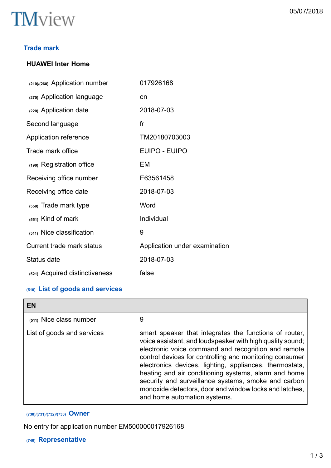

## **Trade mark**

## **HUAWEI Inter Home**

| (210)/(260) Application number | 017926168                     |
|--------------------------------|-------------------------------|
| (270) Application language     | en                            |
| (220) Application date         | 2018-07-03                    |
| Second language                | f <sub>r</sub>                |
| Application reference          | TM20180703003                 |
| Trade mark office              | <b>EUIPO - EUIPO</b>          |
| (190) Registration office      | EM                            |
| Receiving office number        | E63561458                     |
| Receiving office date          | 2018-07-03                    |
| (550) Trade mark type          | Word                          |
| (551) Kind of mark             | Individual                    |
| (511) Nice classification      | 9                             |
| Current trade mark status      | Application under examination |
| Status date                    | 2018-07-03                    |
| (521) Acquired distinctiveness | false                         |

## **(510) List of goods and services**

| EN                         |                                                                                                                                                                                                                                                                                                                                                                                                                                                                                                           |
|----------------------------|-----------------------------------------------------------------------------------------------------------------------------------------------------------------------------------------------------------------------------------------------------------------------------------------------------------------------------------------------------------------------------------------------------------------------------------------------------------------------------------------------------------|
| (511) Nice class number    | 9                                                                                                                                                                                                                                                                                                                                                                                                                                                                                                         |
| List of goods and services | smart speaker that integrates the functions of router,<br>voice assistant, and loudspeaker with high quality sound;<br>electronic voice command and recognition and remote<br>control devices for controlling and monitoring consumer<br>electronics devices, lighting, appliances, thermostats,<br>heating and air conditioning systems, alarm and home<br>security and surveillance systems, smoke and carbon<br>monoxide detectors, door and window locks and latches,<br>and home automation systems. |

## **(730)/(731)/(732)/(733) Owner**

No entry for application number EM500000017926168

## **(740) Representative**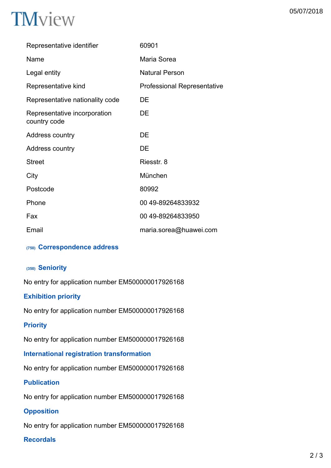| Representative identifier                    | 60901                              |
|----------------------------------------------|------------------------------------|
| Name                                         | Maria Sorea                        |
| Legal entity                                 | <b>Natural Person</b>              |
| Representative kind                          | <b>Professional Representative</b> |
| Representative nationality code              | DE                                 |
| Representative incorporation<br>country code | DE                                 |
| Address country                              | DE                                 |
| Address country                              | DE                                 |
| <b>Street</b>                                | Riesstr. 8                         |
| City                                         | München                            |
| Postcode                                     | 80992                              |
| Phone                                        | 00 49-89264833932                  |
| Fax                                          | 00 49-89264833950                  |
| Email                                        | maria.sorea@huawei.com             |
|                                              |                                    |

## **(750) Correspondence address**

## **(350) Seniority**

No entry for application number EM500000017926168

## **Exhibition priority**

No entry for application number EM500000017926168

## **Priority**

No entry for application number EM500000017926168

## **International registration transformation**

No entry for application number EM500000017926168

## **Publication**

No entry for application number EM500000017926168

## **Opposition**

No entry for application number EM500000017926168

## **Recordals**